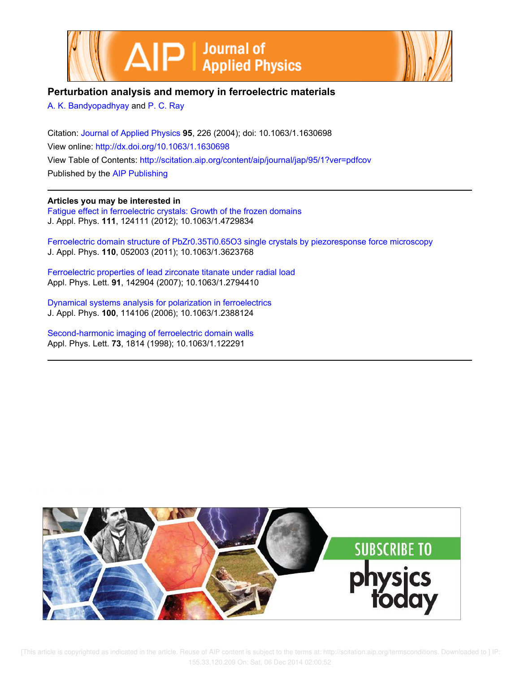



# **Perturbation analysis and memory in ferroelectric materials**

A. K. Bandyopadhyay and P. C. Ray

Citation: Journal of Applied Physics **95**, 226 (2004); doi: 10.1063/1.1630698 View online: http://dx.doi.org/10.1063/1.1630698 View Table of Contents: http://scitation.aip.org/content/aip/journal/jap/95/1?ver=pdfcov Published by the AIP Publishing

# **Articles you may be interested in**

Fatigue effect in ferroelectric crystals: Growth of the frozen domains J. Appl. Phys. **111**, 124111 (2012); 10.1063/1.4729834

Ferroelectric domain structure of PbZr0.35Ti0.65O3 single crystals by piezoresponse force microscopy J. Appl. Phys. **110**, 052003 (2011); 10.1063/1.3623768

Ferroelectric properties of lead zirconate titanate under radial load Appl. Phys. Lett. **91**, 142904 (2007); 10.1063/1.2794410

Dynamical systems analysis for polarization in ferroelectrics J. Appl. Phys. **100**, 114106 (2006); 10.1063/1.2388124

Second-harmonic imaging of ferroelectric domain walls Appl. Phys. Lett. **73**, 1814 (1998); 10.1063/1.122291



 [This article is copyrighted as indicated in the article. Reuse of AIP content is subject to the terms at: http://scitation.aip.org/termsconditions. Downloaded to ] IP: 155.33.120.209 On: Sat, 06 Dec 2014 02:00:52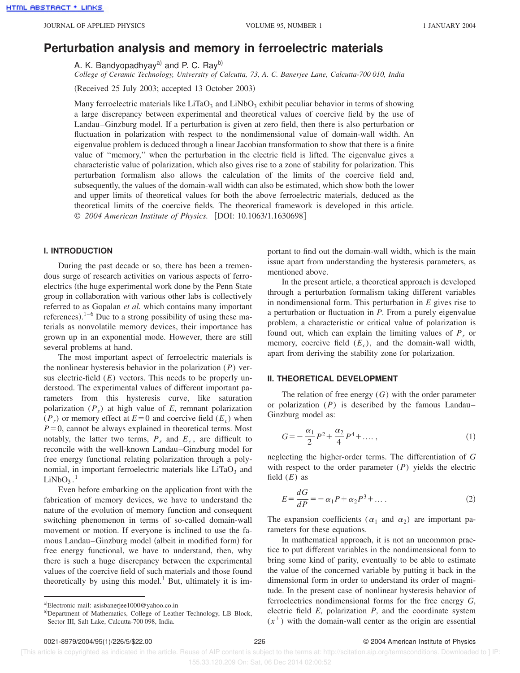# **Perturbation analysis and memory in ferroelectric materials**

A. K. Bandyopadhyay<sup>a)</sup> and P. C. Ray<sup>b)</sup>

*College of Ceramic Technology, University of Calcutta, 73, A. C. Banerjee Lane, Calcutta-700 010, India*

(Received 25 July 2003; accepted 13 October 2003)

Many ferroelectric materials like LiTaO<sub>3</sub> and LiNbO<sub>3</sub> exhibit peculiar behavior in terms of showing a large discrepancy between experimental and theoretical values of coercive field by the use of Landau–Ginzburg model. If a perturbation is given at zero field, then there is also perturbation or fluctuation in polarization with respect to the nondimensional value of domain-wall width. An eigenvalue problem is deduced through a linear Jacobian transformation to show that there is a finite value of ''memory,'' when the perturbation in the electric field is lifted. The eigenvalue gives a characteristic value of polarization, which also gives rise to a zone of stability for polarization. This perturbation formalism also allows the calculation of the limits of the coercive field and, subsequently, the values of the domain-wall width can also be estimated, which show both the lower and upper limits of theoretical values for both the above ferroelectric materials, deduced as the theoretical limits of the coercive fields. The theoretical framework is developed in this article. © 2004 American Institute of Physics. [DOI: 10.1063/1.1630698]

## **I. INTRODUCTION**

During the past decade or so, there has been a tremendous surge of research activities on various aspects of ferroelectrics (the huge experimental work done by the Penn State group in collaboration with various other labs is collectively referred to as Gopalan *et al.* which contains many important references).<sup>1–6</sup> Due to a strong possibility of using these materials as nonvolatile memory devices, their importance has grown up in an exponential mode. However, there are still several problems at hand.

The most important aspect of ferroelectric materials is the nonlinear hysteresis behavior in the polarization (*P*) versus electric-field  $(E)$  vectors. This needs to be properly understood. The experimental values of different important parameters from this hysteresis curve, like saturation polarization (*P<sup>s</sup>* ) at high value of *E*, remnant polarization  $(P_r)$  or memory effect at  $E=0$  and coercive field  $(E_c)$  when  $P=0$ , cannot be always explained in theoretical terms. Most notably, the latter two terms,  $P_r$  and  $E_c$ , are difficult to reconcile with the well-known Landau–Ginzburg model for free energy functional relating polarization through a polynomial, in important ferroelectric materials like  $LiTaO<sub>3</sub>$  and  $LiNbO<sub>3</sub>$ .<sup>1</sup>

Even before embarking on the application front with the fabrication of memory devices, we have to understand the nature of the evolution of memory function and consequent switching phenomenon in terms of so-called domain-wall movement or motion. If everyone is inclined to use the famous Landau–Ginzburg model (albeit in modified form) for free energy functional, we have to understand, then, why there is such a huge discrepancy between the experimental values of the coercive field of such materials and those found theoretically by using this model.<sup>1</sup> But, ultimately it is important to find out the domain-wall width, which is the main issue apart from understanding the hysteresis parameters, as mentioned above.

In the present article, a theoretical approach is developed through a perturbation formalism taking different variables in nondimensional form. This perturbation in *E* gives rise to a perturbation or fluctuation in *P*. From a purely eigenvalue problem, a characteristic or critical value of polarization is found out, which can explain the limiting values of  $P_r$  or memory, coercive field  $(E_c)$ , and the domain-wall width, apart from deriving the stability zone for polarization.

## **II. THEORETICAL DEVELOPMENT**

The relation of free energy (*G*) with the order parameter or polarization (*P*) is described by the famous Landau– Ginzburg model as:

$$
G = -\frac{\alpha_1}{2}P^2 + \frac{\alpha_2}{4}P^4 + \dots,\tag{1}
$$

neglecting the higher-order terms. The differentiation of *G* with respect to the order parameter (*P*) yields the electric field  $(E)$  as

$$
E = \frac{dG}{dP} = -\alpha_1 P + \alpha_2 P^3 + \dots
$$
 (2)

The expansion coefficients ( $\alpha_1$  and  $\alpha_2$ ) are important parameters for these equations.

In mathematical approach, it is not an uncommon practice to put different variables in the nondimensional form to bring some kind of parity, eventually to be able to estimate the value of the concerned variable by putting it back in the dimensional form in order to understand its order of magnitude. In the present case of nonlinear hysteresis behavior of ferroelectrics nondimensional forms for the free energy *G*, electric field *E*, polarization *P*, and the coordinate system  $(x<sup>+</sup>)$  with the domain-wall center as the origin are essential

a)Electronic mail: asisbanerjee1000@yahoo.co.in

b) Department of Mathematics, College of Leather Technology, LB Block, Sector III, Salt Lake, Calcutta-700 098, India.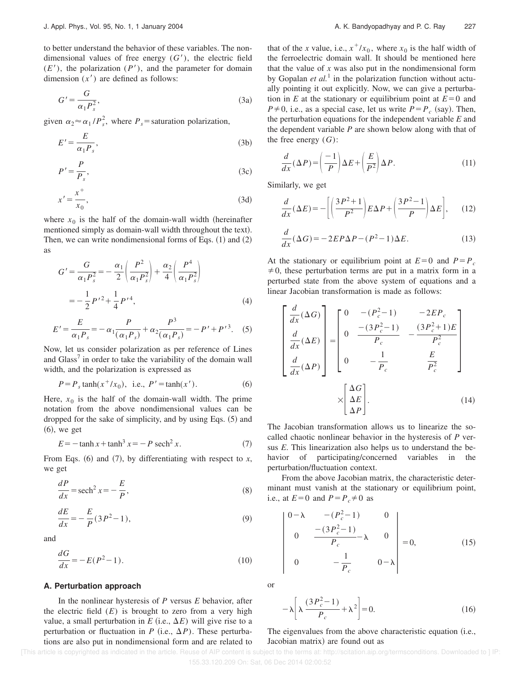to better understand the behavior of these variables. The nondimensional values of free energy  $(G')$ , the electric field  $(E')$ , the polarization  $(P')$ , and the parameter for domain dimension  $(x')$  are defined as follows:

$$
G' = \frac{G}{\alpha_1 P_s^2},\tag{3a}
$$

given  $\alpha_2 \approx \alpha_1/P_s^2$ , where  $P_s$  = saturation polarization,

$$
E' = \frac{E}{\alpha_1 P_s},\tag{3b}
$$

$$
P' = \frac{P}{P_s},\tag{3c}
$$

$$
x' = \frac{x^+}{x_0},\tag{3d}
$$

where  $x_0$  is the half of the domain-wall width (hereinafter mentioned simply as domain-wall width throughout the text). Then, we can write nondimensional forms of Eqs.  $(1)$  and  $(2)$ as

$$
G' = \frac{G}{\alpha_1 P_s^2} = -\frac{\alpha_1}{2} \left( \frac{P^2}{\alpha_1 P_s^2} \right) + \frac{\alpha_2}{4} \left( \frac{P^4}{\alpha_1 P_s^2} \right)
$$
  
=  $-\frac{1}{2} P'^2 + \frac{1}{4} P'^4,$  (4)

$$
E' = \frac{E}{\alpha_1 P_s} = -\alpha_1 \frac{P}{(\alpha_1 P_s)} + \alpha_2 \frac{P^3}{(\alpha_1 P_s)} = -P' + P'^3. \quad (5)
$$

Now, let us consider polarization as per reference of Lines and Glass<sup>7</sup> in order to take the variability of the domain wall width, and the polarization is expressed as

$$
P = P_s \tanh(x^+/x_0), \text{ i.e., } P' = \tanh(x'). \tag{6}
$$

Here,  $x_0$  is the half of the domain-wall width. The prime notation from the above nondimensional values can be dropped for the sake of simplicity, and by using Eqs.  $(5)$  and  $(6)$ , we get

$$
E = -\tanh x + \tanh^3 x = -P \operatorname{sech}^2 x. \tag{7}
$$

From Eqs.  $(6)$  and  $(7)$ , by differentiating with respect to *x*, we get

$$
\frac{dP}{dx} = \operatorname{sech}^2 x = -\frac{E}{P},\tag{8}
$$

$$
\frac{dE}{dx} = -\frac{E}{P}(3P^2 - 1),\tag{9}
$$

and

$$
\frac{dG}{dx} = -E(P^2 - 1). \tag{10}
$$

#### **A. Perturbation approach**

In the nonlinear hysteresis of *P* versus *E* behavior, after the electric field  $(E)$  is brought to zero from a very high value, a small perturbation in  $E$  (i.e.,  $\Delta E$ ) will give rise to a perturbation or fluctuation in *P* (i.e.,  $\Delta P$ ). These perturbations are also put in nondimensional form and are related to

that of the *x* value, i.e.,  $x^+/x_0$ , where  $x_0$  is the half width of the ferroelectric domain wall. It should be mentioned here that the value of *x* was also put in the nondimensional form by Gopalan *et al.*<sup>1</sup> in the polarization function without actually pointing it out explicitly. Now, we can give a perturbation in *E* at the stationary or equilibrium point at  $E=0$  and  $P \neq 0$ , i.e., as a special case, let us write  $P = P_c$  (say). Then, the perturbation equations for the independent variable *E* and the dependent variable *P* are shown below along with that of the free energy (*G*):

$$
\frac{d}{dx}(\Delta P) = \left(\frac{-1}{P}\right)\Delta E + \left(\frac{E}{P^2}\right)\Delta P.
$$
\n(11)

Similarly, we get

$$
\frac{d}{dx}(\Delta E) = -\left[ \left( \frac{3P^2 + 1}{P^2} \right) E \Delta P + \left( \frac{3P^2 - 1}{P} \right) \Delta E \right], \quad (12)
$$

$$
\frac{d}{dx}(\Delta G) = -2EP\Delta P - (P^2 - 1)\Delta E.
$$
\n(13)

At the stationary or equilibrium point at  $E=0$  and  $P=P_c$  $\neq$ 0, these perturbation terms are put in a matrix form in a perturbed state from the above system of equations and a linear Jacobian transformation is made as follows:

$$
\begin{bmatrix}\n\frac{d}{dx}(\Delta G) \\
\frac{d}{dx}(\Delta E) \\
\frac{d}{dx}(\Delta P)\n\end{bmatrix} = \begin{bmatrix}\n0 & -(P_c^2 - 1) & -2EP_c \\
0 & \frac{-(3P_c^2 - 1)}{P_c} & -\frac{(3P_c^2 + 1)E}{P_c^2} \\
0 & -\frac{1}{P_c} & \frac{E}{P_c^2}\n\end{bmatrix}
$$
\n
$$
\times \begin{bmatrix}\n\Delta G \\
\Delta E \\
\Delta P\n\end{bmatrix}.
$$
\n(14)

The Jacobian transformation allows us to linearize the socalled chaotic nonlinear behavior in the hysteresis of *P* versus *E*. This linearization also helps us to understand the behavior of participating/concerned variables in the perturbation/fluctuation context.

From the above Jacobian matrix, the characteristic determinant must vanish at the stationary or equilibrium point, i.e., at  $E=0$  and  $P=P_c\neq0$  as

$$
\begin{vmatrix}\n0-\lambda & -(P_c^2 - 1) & 0 \\
0 & \frac{-(3P_c^2 - 1)}{P_c} - \lambda & 0 \\
0 & -\frac{1}{P_c} & 0 - \lambda\n\end{vmatrix} = 0,
$$
\n(15)

or

$$
-\lambda \left[ \lambda \frac{(3P_c^2 - 1)}{P_c} + \lambda^2 \right] = 0.
$$
 (16)

# The eigenvalues from the above characteristic equation (i.e., Jacobian matrix) are found out as

[This article is copyrighted as indicated in the article. Reuse of AIP content is subject to the terms at: http://scitation.aip.org/termsconditions. Downloaded to ] IP: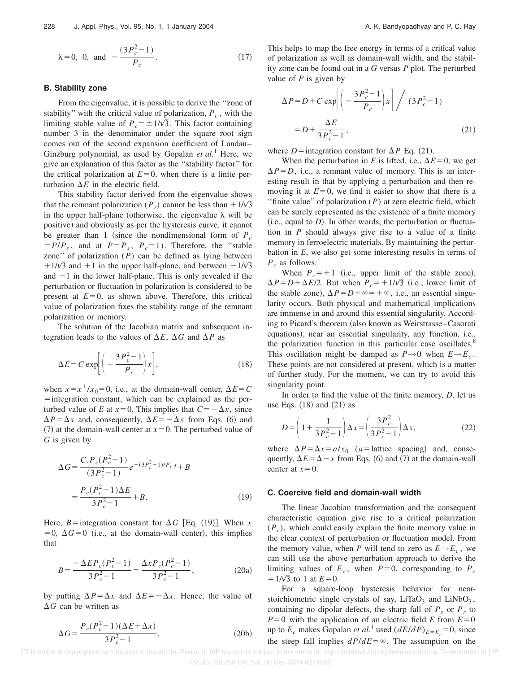$$
\lambda = 0
$$
, 0, and  $-\frac{(3P_c^2 - 1)}{P_c}$ . (17)

### **B. Stability zone**

From the eigenvalue, it is possible to derive the ''zone of stability'' with the critical value of polarization,  $P_c$ , with the limiting stable value of  $P_c = \pm 1/\sqrt{3}$ . This factor containing number 3 in the denominator under the square root sign comes out of the second expansion coefficient of Landau– Ginzburg polynomial, as used by Gopalan *et al.*<sup>1</sup> Here, we give an explanation of this factor as the ''stability factor'' for the critical polarization at  $E=0$ , when there is a finite perturbation  $\Delta E$  in the electric field.

This stability factor derived from the eigenvalue shows that the remnant polarization ( $P_r$ ) cannot be less than  $+1/\sqrt{3}$ in the upper half-plane (otherwise, the eigenvalue  $\lambda$  will be positive) and obviously as per the hysteresis curve, it cannot be greater than 1 (since the nondimensional form of  $P_c$  $= P/P_s$ , and at  $P = P_s$ ,  $P_c = 1$ ). Therefore, the "stable" zone" of polarization  $(P)$  can be defined as lying between  $11/\sqrt{3}$  and  $+1$  in the upper half-plane, and between  $-1/\sqrt{3}$ and  $-1$  in the lower half-plane. This is only revealed if the perturbation or fluctuation in polarization is considered to be present at  $E=0$ , as shown above. Therefore, this critical value of polarization fixes the stability range of the remnant polarization or memory.

The solution of the Jacobian matrix and subsequent integration leads to the values of  $\Delta E$ ,  $\Delta G$  and  $\Delta P$  as

$$
\Delta E = C \exp \left[ \left( -\frac{3P_c^2 - 1}{P_c} \right) x \right],\tag{18}
$$

when  $x = x^+/x_0 = 0$ , i.e., at the domain-wall center,  $\Delta E = C$  $=$  integration constant, which can be explained as the perturbed value of *E* at  $x=0$ . This implies that  $C=-\Delta x$ , since  $\Delta P = \Delta x$  and, consequently,  $\Delta E = -\Delta x$  from Eqs. (6) and  $(7)$  at the domain-wall center at  $x=0$ . The perturbed value of *G* is given by

$$
\Delta G = \frac{C.P_c(P_c^2 - 1)}{(3P_c^2 - 1)} e^{-(3P_c^2 - 1)/P_c x} + B
$$
  
= 
$$
\frac{P_c(P_c^2 - 1)\Delta E}{3P_c^2 - 1} + B.
$$
 (19)

Here, *B*=integration constant for  $\Delta G$  [Eq. (19)]. When *x*  $=0, \Delta G=0$  (i.e., at the domain-wall center), this implies that

$$
B = \frac{-\Delta E P_c (P_c^2 - 1)}{3P_c^2 - 1} = \frac{\Delta x P_c (P_c^2 - 1)}{3P_c^2 - 1},
$$
 (20a)

by putting  $\Delta P = \Delta x$  and  $\Delta E = -\Delta x$ . Hence, the value of  $\Delta G$  can be written as

$$
\Delta G = \frac{P_c(P_c^2 - 1)(\Delta E + \Delta x)}{3P_c^2 - 1}.
$$
 (20b)

This helps to map the free energy in terms of a critical value of polarization as well as domain-wall width, and the stability zone can be found out in a *G* versus *P* plot. The perturbed value of *P* is given by

$$
\Delta P = D + C \exp\left[\left(-\frac{3P_c^2 - 1}{P_c}\right)x\right] / (3P_c^2 - 1)
$$

$$
= D + \frac{\Delta E}{3P_c^2 - 1}, \tag{21}
$$

where *D* = integration constant for  $\Delta P$  Eq. (21).

When the perturbation in *E* is lifted, i.e.,  $\Delta E = 0$ , we get  $\Delta P = D$ , i.e., a remnant value of memory. This is an interesting result in that by applying a perturbation and then removing it at  $E=0$ , we find it easier to show that there is a ''finite value'' of polarization (*P*) at zero electric field, which can be surely represented as the existence of a finite memory  $(i.e., equal to D)$ . In other words, the perturbation or fluctuation in *P* should always give rise to a value of a finite memory in ferroelectric materials. By maintaining the perturbation in *E*, we also get some interesting results in terms of *P<sup>c</sup>* as follows.

When  $P_c = +1$  (i.e., upper limit of the stable zone),  $\Delta P = D + \Delta E/2$ . But when  $P_c = +1/\sqrt{3}$  (i.e., lower limit of the stable zone),  $\Delta P = D + \infty = +\infty$ , i.e., an essential singularity occurs. Both physical and mathematical implications are immense in and around this essential singularity. According to Picard's theorem (also known as Weirstrasse–Casorati equations), near an essential singularity, any function, i.e., the polarization function in this particular case oscillates.<sup>8</sup> This oscillation might be damped as  $P \rightarrow 0$  when  $E \rightarrow E_c$ . These points are not considered at present, which is a matter of further study. For the moment, we can try to avoid this singularity point.

In order to find the value of the finite memory, *D*, let us use Eqs.  $(18)$  and  $(21)$  as

$$
D = \left(1 + \frac{1}{3P_c^2 - 1}\right) \Delta x = \left(\frac{3P_c^2}{3P_c^2 - 1}\right) \Delta x,\tag{22}
$$

where  $\Delta P = \Delta x = a/x_0$  (*a*=lattice spacing) and, consequently,  $\Delta E = \Delta - x$  from Eqs. (6) and (7) at the domain-wall center at  $x=0$ .

#### **C. Coercive field and domain-wall width**

The linear Jacobian transformation and the consequent characteristic equation give rise to a critical polarization  $(P_c)$ , which could easily explain the finite memory value in the clear context of perturbation or fluctuation model. From the memory value, when *P* will tend to zero as  $E \rightarrow E_c$ , we can still use the above perturbation approach to derive the limiting values of  $E_c$ , when  $P=0$ , corresponding to  $P_c$  $=1/\sqrt{3}$  to 1 at  $E=0$ .

For a square-loop hysteresis behavior for nearstoichiometric single crystals of say,  $LiTaO_3$  and  $LiNbO_3$ , containing no dipolar defects, the sharp fall of  $P_s$  or  $P_r$  to  $P=0$  with the application of an electric field *E* from  $E=0$ up to  $E_c$  makes Gopalan *et al.*<sup>1</sup> used  $(dE/dP)_{E=E_c} = 0$ , since the steep fall implies  $dP/dE = \infty$ . The assumption on the

 [This article is copyrighted as indicated in the article. Reuse of AIP content is subject to the terms at: http://scitation.aip.org/termsconditions. Downloaded to ] IP: 155.33.120.209 On: Sat, 06 Dec 2014 02:00:52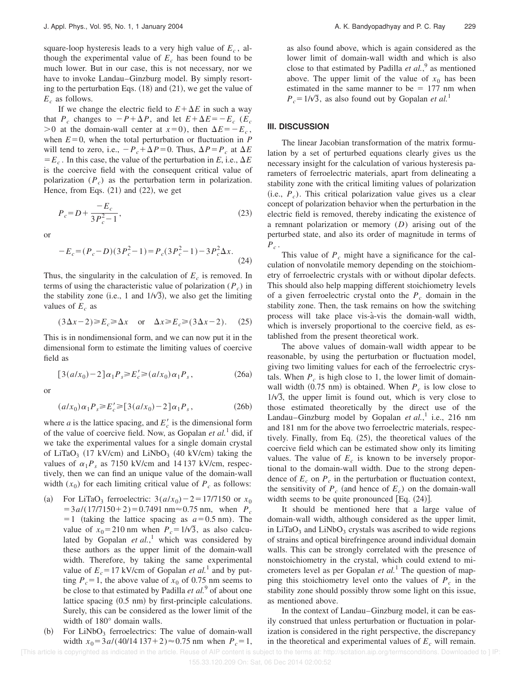square-loop hysteresis leads to a very high value of *E<sup>c</sup>* , although the experimental value of  $E_c$  has been found to be much lower. But in our case, this is not necessary, nor we have to invoke Landau–Ginzburg model. By simply resorting to the perturbation Eqs.  $(18)$  and  $(21)$ , we get the value of *E<sup>c</sup>* as follows.

If we change the electric field to  $E + \Delta E$  in such a way that  $P_c$  changes to  $-P + \Delta P$ , and let  $E + \Delta E = -E_c$  ( $E_c$  $>0$  at the domain-wall center at  $x=0$ ), then  $\Delta E = -E_c$ , when  $E=0$ , when the total perturbation or fluctuation in *P* will tend to zero, i.e.,  $-P_c + \Delta P = 0$ . Thus,  $\Delta P = P_c$  at  $\Delta E$  $E_c$ . In this case, the value of the perturbation in *E*, i.e.,  $\Delta E$ is the coercive field with the consequent critical value of polarization (*P<sup>c</sup>* ) as the perturbation term in polarization. Hence, from Eqs.  $(21)$  and  $(22)$ , we get

$$
P_c = D + \frac{-E_c}{3P_c^2 - 1},\tag{23}
$$

or

$$
-E_c = (P_c - D)(3P_c^2 - 1) = P_c(3P_c^2 - 1) - 3P_c^2 \Delta x.
$$
\n(24)

Thus, the singularity in the calculation of  $E_c$  is removed. In terms of using the characteristic value of polarization (*P<sup>c</sup>* ) in the stability zone (i.e., 1 and  $1/\sqrt{3}$ ), we also get the limiting values of  $E_c$  as

$$
(3\Delta x - 2) \ge E_c \ge \Delta x \quad \text{or} \quad \Delta x \ge E_c \ge (3\Delta x - 2). \tag{25}
$$

This is in nondimensional form, and we can now put it in the dimensional form to estimate the limiting values of coercive field as

$$
[3(a/x_0) - 2]\alpha_1 P_s \ge E_c' \ge (a/x_0)\alpha_1 P_s, \qquad (26a)
$$

or

$$
(a/x_0)\alpha_1 P_s \ge E_c' \ge [3(a/x_0) - 2]\alpha_1 P_s, \qquad (26b)
$$

where *a* is the lattice spacing, and  $E_c$  is the dimensional form of the value of coercive field. Now, as Gopalan *et al.*<sup>1</sup> did, if we take the experimental values for a single domain crystal of LiTaO<sub>3</sub> (17 kV/cm) and LiNbO<sub>3</sub> (40 kV/cm) taking the values of  $\alpha_1 P_s$  as 7150 kV/cm and 14 137 kV/cm, respectively, then we can find an unique value of the domain-wall width  $(x_0)$  for each limiting critical value of  $P_c$  as follows:

- (a) For LiTaO<sub>3</sub> ferroelectric:  $3(a/x_0) 2 = 17/7150$  or  $x_0$  $=$ 3*a*/(17/7150+2)=0.7491 nm $\approx$ 0.75 nm, when  $P_c$  $=1$  (taking the lattice spacing as  $a=0.5$  nm). The value of  $x_0 = 210$  nm when  $P_c = 1/\sqrt{3}$ , as also calculated by Gopalan *et al.*, <sup>1</sup> which was considered by these authors as the upper limit of the domain-wall width. Therefore, by taking the same experimental value of  $E_c = 17$  kV/cm of Gopalan *et al.*<sup>1</sup> and by putting  $P_c = 1$ , the above value of  $x_0$  of 0.75 nm seems to be close to that estimated by Padilla *et al.*<sup>9</sup> of about one lattice spacing  $(0.5 \text{ nm})$  by first-principle calculations. Surely, this can be considered as the lower limit of the width of 180° domain walls.
- (b) For  $LiNbO<sub>3</sub>$  ferroelectrics: The value of domain-wall width  $x_0 = 3a/(40/14 137 + 2) \approx 0.75$  nm when  $P_c = 1$ ,

as also found above, which is again considered as the lower limit of domain-wall width and which is also close to that estimated by Padilla *et al.*, 9 as mentioned above. The upper limit of the value of  $x_0$  has been estimated in the same manner to be  $= 177$  nm when  $P_c = 1/\sqrt{3}$ , as also found out by Gopalan *et al.*<sup>1</sup>

# **III. DISCUSSION**

The linear Jacobian transformation of the matrix formulation by a set of perturbed equations clearly gives us the necessary insight for the calculation of various hysteresis parameters of ferroelectric materials, apart from delineating a stability zone with the critical limiting values of polarization  $(i.e., P<sub>c</sub>)$ . This critical polarization value gives us a clear concept of polarization behavior when the perturbation in the electric field is removed, thereby indicating the existence of a remnant polarization or memory (*D*) arising out of the perturbed state, and also its order of magnitude in terms of *Pc* .

This value of *P<sup>c</sup>* might have a significance for the calculation of nonvolatile memory depending on the stoichiometry of ferroelectric crystals with or without dipolar defects. This should also help mapping different stoichiometry levels of a given ferroelectric crystal onto the  $P_c$  domain in the stability zone. Then, the task remains on how the switching process will take place vis-à-vis the domain-wall width, which is inversely proportional to the coercive field, as established from the present theoretical work.

The above values of domain-wall width appear to be reasonable, by using the perturbation or fluctuation model, giving two limiting values for each of the ferroelectric crystals. When  $P_c$  is high close to 1, the lower limit of domainwall width  $(0.75 \text{ nm})$  is obtained. When  $P_c$  is low close to  $1/\sqrt{3}$ , the upper limit is found out, which is very close to those estimated theoretically by the direct use of the Landau–Ginzburg model by Gopalan et al.,<sup>1</sup> i.e., 216 nm and 181 nm for the above two ferroelectric materials, respectively. Finally, from Eq.  $(25)$ , the theoretical values of the coercive field which can be estimated show only its limiting values. The value of  $E_c$  is known to be inversely proportional to the domain-wall width. Due to the strong dependence of  $E_c$  on  $P_c$  in the perturbation or fluctuation context, the sensitivity of  $P_c$  (and hence of  $E_c$ ) on the domain-wall width seems to be quite pronounced  $[Eq. (24)].$ 

It should be mentioned here that a large value of domain-wall width, although considered as the upper limit, in LiTaO<sub>3</sub> and LiNbO<sub>3</sub> crystals was ascribed to wide regions of strains and optical birefringence around individual domain walls. This can be strongly correlated with the presence of nonstoichiometry in the crystal, which could extend to micrometers level as per Gopalan *et al.*<sup>1</sup> The question of mapping this stoichiometry level onto the values of  $P_c$  in the stability zone should possibly throw some light on this issue, as mentioned above.

In the context of Landau–Ginzburg model, it can be easily construed that unless perturbation or fluctuation in polarization is considered in the right perspective, the discrepancy in the theoretical and experimental values of  $E_c$  will remain.